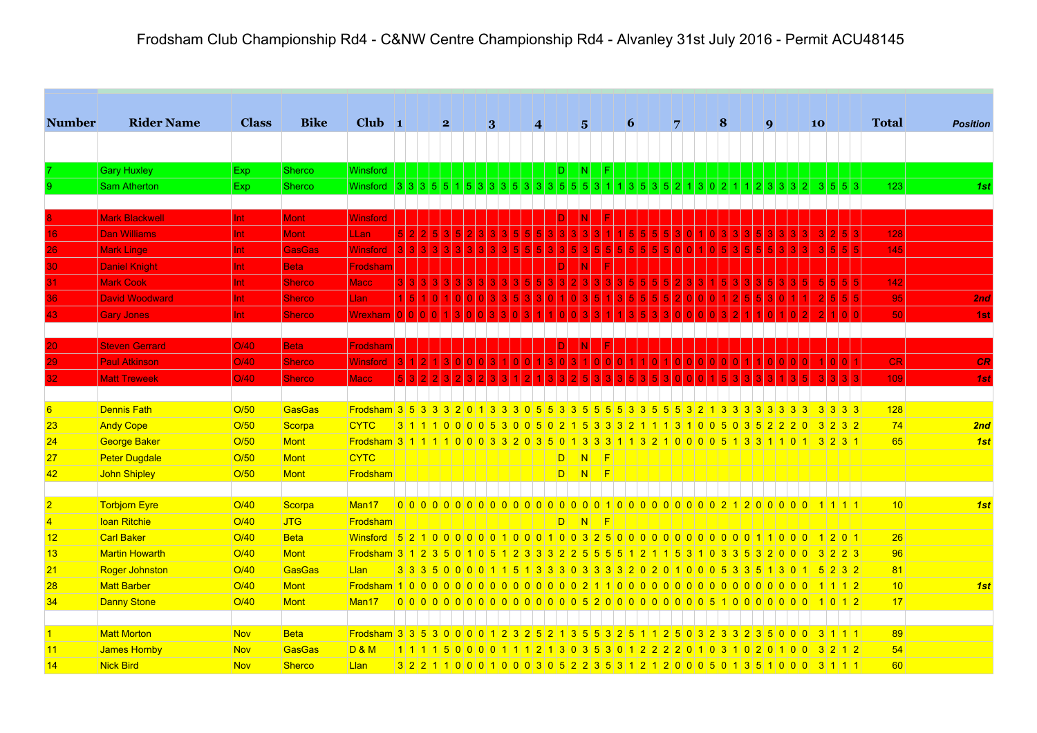| <b>Number</b>  | <b>Rider Name</b>     | <b>Class</b> | <b>Bike</b>   | Club $\vert$ 1                                                                             |                        | $\mathbf{2}$ |   | 3 |                                                                                 | $\vert$ |    | $5\overline{ }$           | 6 |      | 7              | $\vert 8 \vert$             |                | $\boldsymbol{Q}$ |                            | 10 |                          | <b>Total</b> | <b>Position</b> |
|----------------|-----------------------|--------------|---------------|--------------------------------------------------------------------------------------------|------------------------|--------------|---|---|---------------------------------------------------------------------------------|---------|----|---------------------------|---|------|----------------|-----------------------------|----------------|------------------|----------------------------|----|--------------------------|--------------|-----------------|
|                |                       |              |               |                                                                                            |                        |              |   |   |                                                                                 |         |    |                           |   |      |                |                             |                |                  |                            |    |                          |              |                 |
|                | <b>Gary Huxley</b>    | Exp          | Sherco        | Winsford                                                                                   |                        |              |   |   |                                                                                 |         | D. | N                         |   |      |                |                             |                |                  |                            |    |                          |              |                 |
|                | <b>Sam Atherton</b>   | Exp          | <b>Sherco</b> | <b>Winsford</b>                                                                            | $3 \mid 3 \mid 3 \mid$ |              |   |   | 5 3 3 3 5 3 3 3 5 5 5 3                                                         |         |    |                           |   | 3 5  |                |                             |                |                  |                            | -3 | 5 5 3                    | 123          | 1st             |
|                |                       |              |               |                                                                                            |                        |              |   |   |                                                                                 |         |    |                           |   |      |                |                             |                |                  |                            |    |                          |              |                 |
|                | <b>Mark Blackwell</b> | Int.         | <b>Mont</b>   | <b>Winsford</b>                                                                            |                        |              |   |   |                                                                                 |         |    |                           |   |      |                |                             |                |                  |                            |    |                          |              |                 |
| 16             | <b>Dan Williams</b>   | Int.         | Mont          | <b>LLan</b>                                                                                |                        |              |   |   |                                                                                 |         |    |                           |   |      |                |                             |                |                  |                            |    |                          | $128$        |                 |
| 26             | <b>Mark Linge</b>     | Int          | <b>GasGas</b> | <b>Winsford</b>                                                                            |                        |              |   |   |                                                                                 |         |    |                           |   |      |                |                             |                |                  |                            |    |                          | 145          |                 |
| 30.            | <b>Daniel Knight</b>  | Int.         | <b>Beta</b>   | Frodshar                                                                                   |                        |              |   |   |                                                                                 |         |    |                           |   |      |                |                             |                |                  |                            |    |                          |              |                 |
| 31.            | <b>Mark Cook</b>      | Int.         | <b>Sherco</b> | Macc                                                                                       |                        |              |   |   |                                                                                 |         |    |                           |   |      |                |                             |                |                  |                            |    |                          | $142$        |                 |
| 36             | <b>David Woodward</b> | Int          | <b>Sherco</b> | Llan                                                                                       |                        |              |   |   |                                                                                 |         |    |                           |   |      |                |                             |                |                  |                            |    |                          | 95           | 2nd             |
| 43             | <b>Gary Jones</b>     | Int.         | <b>Sherco</b> | Wrexhan                                                                                    |                        |              |   |   |                                                                                 |         |    |                           |   |      |                |                             |                |                  |                            |    |                          | 50           | 1st             |
|                |                       |              |               |                                                                                            |                        |              |   |   |                                                                                 |         |    |                           |   |      |                |                             |                |                  |                            |    |                          |              |                 |
| 20             | <b>Steven Gerrard</b> | O/40         | <b>Beta</b>   | Frodshan                                                                                   |                        |              |   |   |                                                                                 |         |    |                           |   |      |                |                             |                |                  |                            |    |                          |              |                 |
| 29             | <b>Paul Atkinson</b>  | O/40         | <b>Sherco</b> | Winsford                                                                                   |                        |              |   |   |                                                                                 |         |    |                           |   |      |                |                             |                |                  |                            |    |                          | <b>CR</b>    | CR              |
| 32             | <b>Matt Treweek</b>   | O/40         | <b>Sherco</b> | <b>Macc</b>                                                                                |                        |              |   |   |                                                                                 |         |    |                           |   |      |                |                             |                |                  |                            |    |                          | 109          | 1st             |
|                |                       |              |               |                                                                                            |                        |              |   |   |                                                                                 |         |    |                           |   |      |                |                             |                |                  |                            |    |                          |              |                 |
| 6              | <b>Dennis Fath</b>    | O/50         | GasGas        | Frodsham 3 5 3 3 3 3 2 0 1 3 3 3 0 5 5 3 3 5 5 5 5 3 3 5 5 5 3 2 1 3 3 3 3 3 3 3 3         |                        |              |   |   |                                                                                 |         |    |                           |   |      |                |                             |                |                  |                            |    | $3 \mid 3 \mid 3 \mid 3$ | 128          |                 |
| 23             | <b>Andy Cope</b>      | O/50         | Scorpa        | <b>CYTC</b>                                                                                |                        |              |   |   | 3 1 1 1 0 0 0 0 5 3 0 0 5 0 2 1 5 3 3 3 2 1 1 1 3 1 0 0 5 0 3 5 2 2 2 0 3 2 3 2 |         |    |                           |   |      |                |                             |                |                  |                            |    |                          | 74           | 2nd             |
| 24             | George Baker          | O/50         | Mont          | Frodsham 3 1 1 1 1 1 0 0 0 3 3 2 0 3 5 0 1 3 3 3 1 1 3 2 1 0 0 0 0 5 1 3 3 1 1 0 1 3 2 3 1 |                        |              |   |   |                                                                                 |         |    |                           |   |      |                |                             |                |                  |                            |    |                          | 65           | 1st             |
| 27             | <b>Peter Dugdale</b>  | O/50         | Mont          | <b>CYTC</b>                                                                                |                        |              |   |   |                                                                                 |         |    | $ D $ $ N $ $ F $         |   |      |                |                             |                |                  |                            |    |                          |              |                 |
| 42             | John Shipley          | O/50         | Mont          | Frodsham                                                                                   |                        |              |   |   |                                                                                 |         |    | $ D $ $ N $ $ F $         |   |      |                |                             |                |                  |                            |    |                          |              |                 |
|                |                       |              |               |                                                                                            |                        |              |   |   |                                                                                 |         |    |                           |   |      |                |                             |                |                  |                            |    |                          |              |                 |
| $\overline{2}$ | Torbjorn Eyre         | O/40         | Scorpa        | Man <sub>17</sub>                                                                          |                        |              |   |   |                                                                                 |         |    |                           |   |      |                |                             |                |                  |                            |    |                          | 10           | 1st             |
| $\overline{4}$ | <b>Ioan Ritchie</b>   | O/40         | <b>JTG</b>    | Frodsham                                                                                   |                        |              |   |   |                                                                                 |         |    | DI NI F                   |   |      |                |                             |                |                  |                            |    |                          |              |                 |
| 12             | Carl Baker            | O/40         | <b>Beta</b>   | Vinsford 5210000001000100325000000000000110001201                                          |                        |              |   |   |                                                                                 |         |    |                           |   |      |                |                             |                |                  |                            |    |                          | 26           |                 |
| 13             | <b>Martin Howarth</b> | O/40         | Mont          | Frodsham 3 1 2 3 5 0 1 0 5 1 2 3 3 3 2 2 5 5 5 6 1                                         |                        |              |   |   |                                                                                 |         |    |                           |   | 2111 | 5 3 1          | $0$ 3 3 5 3 2 0 0 0 3 2 2 3 |                |                  |                            |    |                          | 96           |                 |
| 21             | <b>Roger Johnston</b> | O/40         | <b>GasGas</b> | Llan                                                                                       | 3 3 3 5 0 0 00         |              |   |   | <b>5</b>                                                                        |         |    | 1 3 3 3 0 3 3 3 3 2 0 2 0 |   |      |                | 10005335                    |                |                  | 130                        |    | 5 2 3 2                  | 81           |                 |
| 28             | <b>Matt Barber</b>    | O/40         | Mont          |                                                                                            |                        |              |   |   |                                                                                 |         |    |                           |   |      |                |                             |                |                  |                            |    | 11112                    | 10           | 1st             |
| 34             | Danny Stone           | O/40         | Mont          | Man <sub>17</sub>                                                                          |                        |              |   |   |                                                                                 |         |    |                           |   |      |                |                             |                |                  |                            |    | $10112$                  | 17           |                 |
|                |                       |              |               |                                                                                            |                        |              |   |   |                                                                                 |         |    |                           |   |      |                |                             |                |                  |                            |    |                          |              |                 |
| $\overline{1}$ | <b>Matt Morton</b>    | <b>Nov</b>   | <b>Beta</b>   | <b>Frodsham 335530000</b>                                                                  |                        |              |   |   |                                                                                 |         |    | -5<br>5 <sup>1</sup>      |   |      | 5 <sup>1</sup> |                             | 2 3            | 5 <sup>1</sup>   | $\Omega$<br>$\overline{0}$ | 3  | 1111                     | 89           |                 |
| 11             | James Hornby          | <b>Nov</b>   | GasGas        | <b>D &amp; M</b>                                                                           | 111111500              |              | n |   |                                                                                 |         |    | -3<br>5 <sup>1</sup>      |   |      |                | $\Omega$                    | 0 <sup>2</sup> | $\Omega$         | 100                        |    | $3 2 1 2$                | 54           |                 |
| 14             | <b>Nick Bird</b>      | <b>Nov</b>   | Sherco        | Llan                                                                                       |                        |              |   |   | 3 2 2 1 1 0 0 0 1 0 0 0 3 0 5 2 2 3 5 3 1 2 1 2 0 0 0 5 0 1 3 5 1 0 0 0 3 1 1 1 |         |    |                           |   |      |                |                             |                |                  |                            |    |                          | 60           |                 |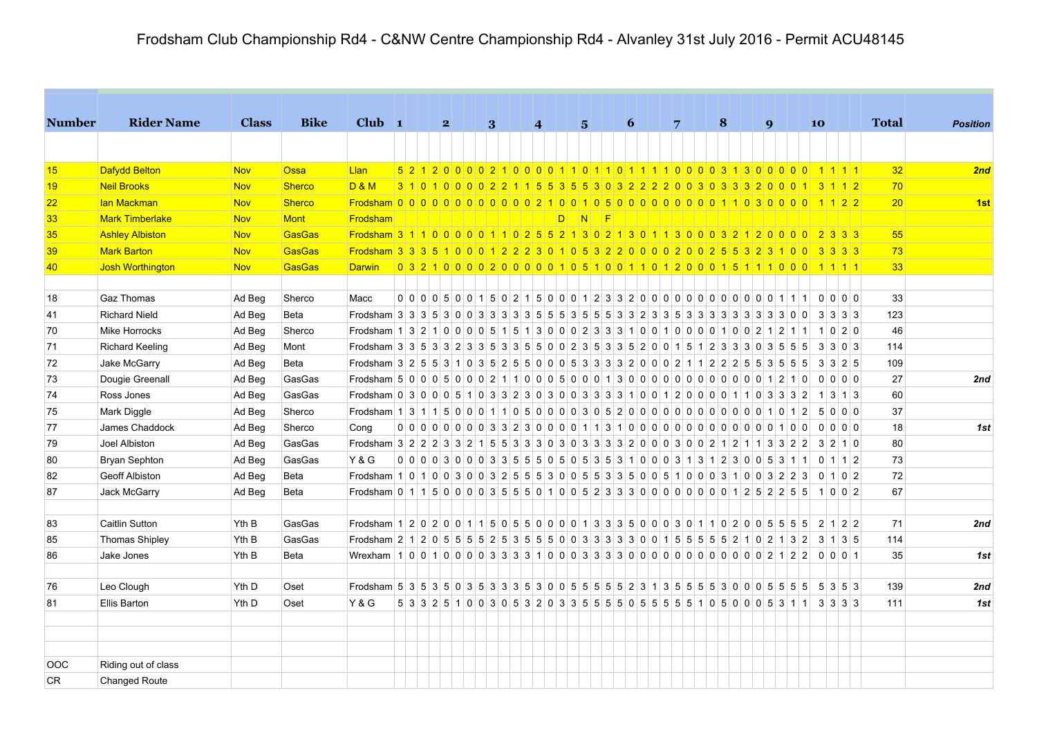| <b>Number</b> | <b>Rider Name</b>      | <b>Class</b> | <b>Bike</b>   | $Club$ 1                                                                                   |  | $\mathbf{2}$ | 3 |  | 4                                                                                       |  | $\overline{5}$ |             | 6 |  | $\overline{7}$ |  | 8 |  | $\boldsymbol{q}$ |  | 10                       |  | <b>Total</b> | <b>Position</b> |
|---------------|------------------------|--------------|---------------|--------------------------------------------------------------------------------------------|--|--------------|---|--|-----------------------------------------------------------------------------------------|--|----------------|-------------|---|--|----------------|--|---|--|------------------|--|--------------------------|--|--------------|-----------------|
|               |                        |              |               |                                                                                            |  |              |   |  |                                                                                         |  |                |             |   |  |                |  |   |  |                  |  |                          |  |              |                 |
| 15            | Dafydd Belton          | <b>Nov</b>   | <b>Ossa</b>   | Llan                                                                                       |  |              |   |  |                                                                                         |  |                |             |   |  |                |  |   |  |                  |  |                          |  | 32           | 2nd             |
| 19            | <b>Neil Brooks</b>     | <b>Nov</b>   | <b>Sherco</b> | D&M                                                                                        |  |              |   |  | 3 1 0 1 0 0 0 0 2 2 1 1 5 5 3 5 5 3 0 3 2 2 2 2 0 0 3 0 3 3 3 2 0 0 0 1 3 1 1 2         |  |                |             |   |  |                |  |   |  |                  |  |                          |  | 70           |                 |
| 22            | lan Mackman            | <b>Nov</b>   | Sherco        | Frodsham 0 0 0 0 0 0 0 0 0 0 0 0 2 1 0 0 1 0 5 0 0 0 0 0 0 0 0 0 0 1 1 0 3 0 0 0 0 1 1 2 2 |  |              |   |  |                                                                                         |  |                |             |   |  |                |  |   |  |                  |  |                          |  | 20           | 1st             |
| 33            | <b>Mark Timberlake</b> | <b>Nov</b>   | Mont          | Frodsham                                                                                   |  |              |   |  |                                                                                         |  |                | $D$ $N$ $F$ |   |  |                |  |   |  |                  |  |                          |  |              |                 |
| 35            | <b>Ashley Albiston</b> | <b>Nov</b>   | GasGas        | Frodsham 3 1 1 0 0 0 0 0 1 1 0 2 5 5 2 1 3 0 2 1 3 0 1 1 3 0 0 0 3 2 1 2 0 0 0 0 2 3 3 3   |  |              |   |  |                                                                                         |  |                |             |   |  |                |  |   |  |                  |  |                          |  | 55           |                 |
| 39            | <b>Mark Barton</b>     | <b>Nov</b>   | GasGas        | Frodsham 3 3 3 5 1 0 0 0 1 2 2 2 3 0 1 0 5 3 2 2 0 0 0 0 2 0 0 2 5 5 3 2 3 1 0 0 3 3 3 3   |  |              |   |  |                                                                                         |  |                |             |   |  |                |  |   |  |                  |  |                          |  | 73           |                 |
| 40            | Josh Worthington       | <b>Nov</b>   | GasGas        | <b>Darwin</b>                                                                              |  |              |   |  | 0321000020000105100110120001511100011001                                                |  |                |             |   |  |                |  |   |  |                  |  |                          |  | 33           |                 |
|               |                        |              |               |                                                                                            |  |              |   |  |                                                                                         |  |                |             |   |  |                |  |   |  |                  |  |                          |  |              |                 |
| 18            | <b>Gaz Thomas</b>      | Ad Beg       | Sherco        | Macc                                                                                       |  |              |   |  |                                                                                         |  |                |             |   |  |                |  |   |  |                  |  |                          |  | 33           |                 |
| 41            | <b>Richard Nield</b>   | Ad Beg       | Beta          |                                                                                            |  |              |   |  |                                                                                         |  |                |             |   |  |                |  |   |  |                  |  |                          |  | 123          |                 |
| 70            | <b>Mike Horrocks</b>   | Ad Beg       | Sherco        | Frodsham 1 3 2 1 0 0 0 0 5 1 5 1 3 0 0 0 2 3 3 3 1 0 0 1 0 0 1 0 0 1 0 0 2 1 2 1 1 1 0 2 0 |  |              |   |  |                                                                                         |  |                |             |   |  |                |  |   |  |                  |  |                          |  | 46           |                 |
| 71            | <b>Richard Keeling</b> | Ad Beg       | Mont          | Frodsham 3 3 5 3 3 2 3 3 5 3 3 5 5 0 0 2 3 5 3 3 5 2 0 0 1 5 1 2 3 3 3 0 3 5 5 5           |  |              |   |  |                                                                                         |  |                |             |   |  |                |  |   |  |                  |  | 3 3 0 3                  |  | 114          |                 |
| 72            | Jake McGarry           | Ad Beg       | Beta          | Frodsham 3 2 5 5 3 1 0 3 5 2 5 5 0 0 0 5 3 3 3 3 2 0 0 0 2 1 1 2 2 2 5 5 3 5 5 6 3 3 3 2 5 |  |              |   |  |                                                                                         |  |                |             |   |  |                |  |   |  |                  |  |                          |  | 109          |                 |
| 73            | Dougie Greenall        | Ad Beg       | GasGas        |                                                                                            |  |              |   |  |                                                                                         |  |                |             |   |  |                |  |   |  |                  |  |                          |  | 27           | 2nd             |
| 74            | Ross Jones             | Ad Beg       | GasGas        | Frodsham 0 3 0 0 0 5 1 0 3 3 2 3 0 3 0 0 3 3 3 3 1 0 0 1 2 0 0 0 0 1 1 0 3 3 3 2           |  |              |   |  |                                                                                         |  |                |             |   |  |                |  |   |  |                  |  | $1 \mid 3 \mid 1 \mid 3$ |  | 60           |                 |
| 75            | Mark Diggle            | Ad Beg       | Sherco        | Frodsham 1 3 1 1 5 0 0 0 1 1 0 5 0 0 0 0 3 0 5 2 0 0 0 0 0 0 0 0 0 0 0 0 0 1 0 1 2         |  |              |   |  |                                                                                         |  |                |             |   |  |                |  |   |  |                  |  | 5000                     |  | 37           |                 |
| 77            | James Chaddock         | Ad Beg       | Sherco        | Cong                                                                                       |  |              |   |  |                                                                                         |  |                |             |   |  |                |  |   |  |                  |  | $0 0 0 0 0$              |  | 18           | 1st             |
| 79            | Joel Albiston          | Ad Beg       | GasGas        | Frodsham 3 2 2 2 3 3 2 1 5 5 3 3 3 0 3 0 3 3 3 3 2 0 0 0 3 0 0 2 1 2 1 1 3 3 2 2 3 2 1 0   |  |              |   |  |                                                                                         |  |                |             |   |  |                |  |   |  |                  |  |                          |  | 80           |                 |
| 80            | Bryan Sephton          | Ad Beg       | GasGas        | <b>Y&amp;G</b>                                                                             |  |              |   |  | $0$ 0 0 0 3 0 0 0 3 3 5 5 6 6 6 6 6 6 6 7 3 6 3 1 0 0 0 3 1 3 1 2 3 0 0 5 3 1 1 0 1 1 2 |  |                |             |   |  |                |  |   |  |                  |  |                          |  | 73           |                 |
| 82            | <b>Geoff Albiston</b>  | Ad Beg       | Beta          | Frodsham 1 0 1 0 0 3 0 0 3 2 5 5 5 3 0 0 5 5 3 3 5 0 0 5 1 0 0 0 3 1 0 0 3 2 2 3           |  |              |   |  |                                                                                         |  |                |             |   |  |                |  |   |  |                  |  | 0 1 0 2                  |  | 72           |                 |
| 87            | Jack McGarry           | Ad Beg       | Beta          | Frodsham $0$ 1 1 5 0 0 0 0 3 5 5 5 0 1 0 0 5 2 3 3 3 0 0 0 0 0 0 0 0 1 2 5 2 2 5 5 1 0 0 2 |  |              |   |  |                                                                                         |  |                |             |   |  |                |  |   |  |                  |  |                          |  | 67           |                 |
|               |                        |              |               |                                                                                            |  |              |   |  |                                                                                         |  |                |             |   |  |                |  |   |  |                  |  |                          |  |              |                 |
| 83            | <b>Caitlin Sutton</b>  | Yth B        | GasGas        | Frodsham 1 2 0 2 0 0 1 1 5 0 5 5 0 0 0 0 1 3 3 3 5 0 0 0 0 3 0 1 1 0 2 0 0 5 5 5 5 2 1 2 2 |  |              |   |  |                                                                                         |  |                |             |   |  |                |  |   |  |                  |  |                          |  | 71           | 2nd             |
| 85            | <b>Thomas Shipley</b>  | Yth B        | GasGas        |                                                                                            |  |              |   |  |                                                                                         |  |                |             |   |  |                |  |   |  |                  |  |                          |  | 114          |                 |
| 86            | Jake Jones             | Yth B        | Beta          |                                                                                            |  |              |   |  |                                                                                         |  |                |             |   |  |                |  |   |  |                  |  |                          |  | 35           | 1st             |
| 76            | Leo Clough             | Yth D        | Oset          |                                                                                            |  |              |   |  |                                                                                         |  |                |             |   |  |                |  |   |  |                  |  |                          |  | 139          | 2nd             |
| 81            | <b>Ellis Barton</b>    | Yth D        | Oset          | <b>Y&amp;G</b>                                                                             |  |              |   |  | 5 3 3 2 5 1 0 0 3 0 5 3 2 0 3 3 5 5 5 6 6 5 6 5 6 5 6 7 0 5 0 0 0 5 3 1 1 3 3 3 3       |  |                |             |   |  |                |  |   |  |                  |  |                          |  | 111          | 1st             |
|               |                        |              |               |                                                                                            |  |              |   |  |                                                                                         |  |                |             |   |  |                |  |   |  |                  |  |                          |  |              |                 |
| <b>OOC</b>    | Riding out of class    |              |               |                                                                                            |  |              |   |  |                                                                                         |  |                |             |   |  |                |  |   |  |                  |  |                          |  |              |                 |
| CR.           | <b>Changed Route</b>   |              |               |                                                                                            |  |              |   |  |                                                                                         |  |                |             |   |  |                |  |   |  |                  |  |                          |  |              |                 |